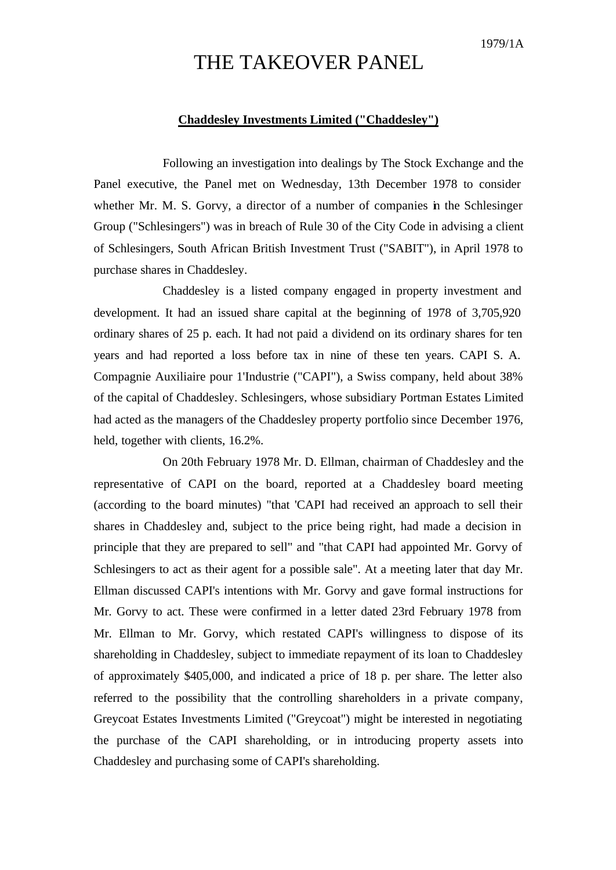## THE TAKEOVER PANEL

## **Chaddesley Investments Limited ("Chaddesley")**

Following an investigation into dealings by The Stock Exchange and the Panel executive, the Panel met on Wednesday, 13th December 1978 to consider whether Mr. M. S. Gorvy, a director of a number of companies in the Schlesinger Group ("Schlesingers") was in breach of Rule 30 of the City Code in advising a client of Schlesingers, South African British Investment Trust ("SABIT"), in April 1978 to purchase shares in Chaddesley.

Chaddesley is a listed company engaged in property investment and development. It had an issued share capital at the beginning of 1978 of 3,705,920 ordinary shares of 25 p. each. It had not paid a dividend on its ordinary shares for ten years and had reported a loss before tax in nine of these ten years. CAPI S. A. Compagnie Auxiliaire pour 1'Industrie ("CAPI"), a Swiss company, held about 38% of the capital of Chaddesley. Schlesingers, whose subsidiary Portman Estates Limited had acted as the managers of the Chaddesley property portfolio since December 1976, held, together with clients, 16.2%.

On 20th February 1978 Mr. D. Ellman, chairman of Chaddesley and the representative of CAPI on the board, reported at a Chaddesley board meeting (according to the board minutes) "that 'CAPI had received an approach to sell their shares in Chaddesley and, subject to the price being right, had made a decision in principle that they are prepared to sell" and "that CAPI had appointed Mr. Gorvy of Schlesingers to act as their agent for a possible sale". At a meeting later that day Mr. Ellman discussed CAPI's intentions with Mr. Gorvy and gave formal instructions for Mr. Gorvy to act. These were confirmed in a letter dated 23rd February 1978 from Mr. Ellman to Mr. Gorvy, which restated CAPI's willingness to dispose of its shareholding in Chaddesley, subject to immediate repayment of its loan to Chaddesley of approximately \$405,000, and indicated a price of 18 p. per share. The letter also referred to the possibility that the controlling shareholders in a private company, Greycoat Estates Investments Limited ("Greycoat") might be interested in negotiating the purchase of the CAPI shareholding, or in introducing property assets into Chaddesley and purchasing some of CAPI's shareholding.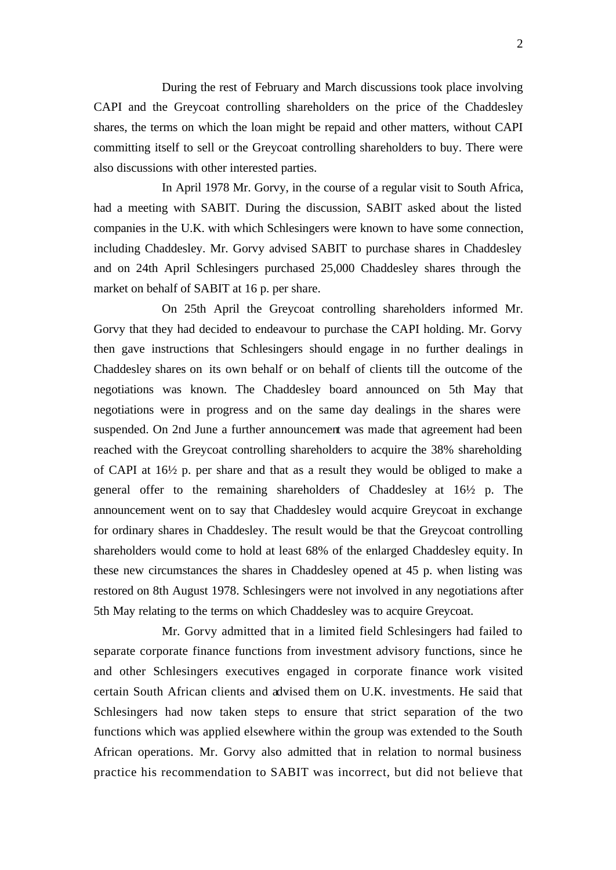During the rest of February and March discussions took place involving CAPI and the Greycoat controlling shareholders on the price of the Chaddesley shares, the terms on which the loan might be repaid and other matters, without CAPI committing itself to sell or the Greycoat controlling shareholders to buy. There were also discussions with other interested parties.

In April 1978 Mr. Gorvy, in the course of a regular visit to South Africa, had a meeting with SABIT. During the discussion, SABIT asked about the listed companies in the U.K. with which Schlesingers were known to have some connection, including Chaddesley. Mr. Gorvy advised SABIT to purchase shares in Chaddesley and on 24th April Schlesingers purchased 25,000 Chaddesley shares through the market on behalf of SABIT at 16 p. per share.

On 25th April the Greycoat controlling shareholders informed Mr. Gorvy that they had decided to endeavour to purchase the CAPI holding. Mr. Gorvy then gave instructions that Schlesingers should engage in no further dealings in Chaddesley shares on its own behalf or on behalf of clients till the outcome of the negotiations was known. The Chaddesley board announced on 5th May that negotiations were in progress and on the same day dealings in the shares were suspended. On 2nd June a further announcement was made that agreement had been reached with the Greycoat controlling shareholders to acquire the 38% shareholding of CAPI at 16½ p. per share and that as a result they would be obliged to make a general offer to the remaining shareholders of Chaddesley at 16½ p. The announcement went on to say that Chaddesley would acquire Greycoat in exchange for ordinary shares in Chaddesley. The result would be that the Greycoat controlling shareholders would come to hold at least 68% of the enlarged Chaddesley equity. In these new circumstances the shares in Chaddesley opened at 45 p. when listing was restored on 8th August 1978. Schlesingers were not involved in any negotiations after 5th May relating to the terms on which Chaddesley was to acquire Greycoat.

Mr. Gorvy admitted that in a limited field Schlesingers had failed to separate corporate finance functions from investment advisory functions, since he and other Schlesingers executives engaged in corporate finance work visited certain South African clients and advised them on U.K. investments. He said that Schlesingers had now taken steps to ensure that strict separation of the two functions which was applied elsewhere within the group was extended to the South African operations. Mr. Gorvy also admitted that in relation to normal business practice his recommendation to SABIT was incorrect, but did not believe that